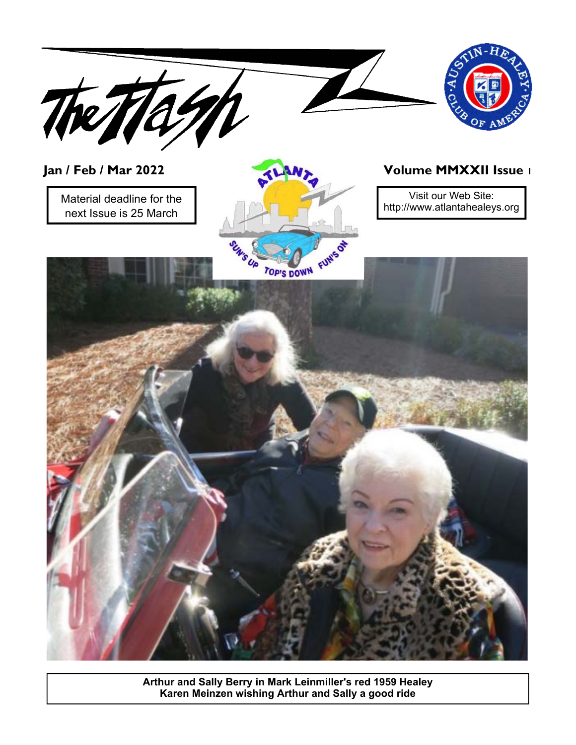

**Arthur and Sally Berry in Mark Leinmiller's red 1959 Healey Karen Meinzen wishing Arthur and Sally a good ride**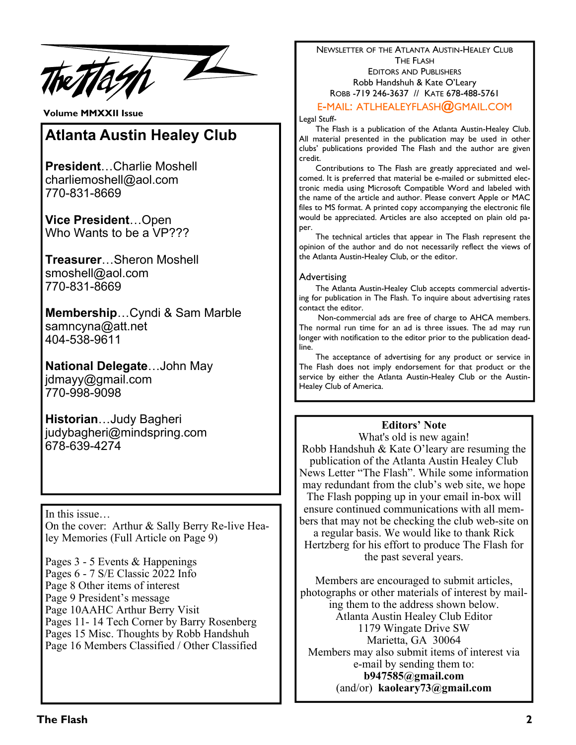tash P

**Volume MMXXII Issue** 

## **Atlanta Austin Healey Club**

**President**…Charlie Moshell charliemoshell@aol.com 770-831-8669

**Vice President**…Open Who Wants to be a VP???

**Treasurer**…Sheron Moshell smoshell@aol.com 770-831-8669

**Membership**…Cyndi & Sam Marble samncyna@att.net 404-538-9611

**National Delegate**…John May jdmayy@gmail.com 770-998-9098

**Historian**…Judy Bagheri judybagheri@mindspring.com 678-639-4274

In this issue…

On the cover: Arthur & Sally Berry Re-live Healey Memories (Full Article on Page 9)

Pages 3 - 5 Events & Happenings Pages 6 - 7 S/E Classic 2022 Info Page 8 Other items of interest Page 9 President's message Page 10AAHC Arthur Berry Visit Pages 11- 14 Tech Corner by Barry Rosenberg Pages 15 Misc. Thoughts by Robb Handshuh Page 16 Members Classified / Other Classified NEWSLETTER OF THE ATLANTA AUSTIN-HEALEY CLUB THE FLASH EDITORS AND PUBLISHERS Robb Handshuh & Kate O'Leary ROBB -719 246-3637 // KATE 678-488-5761

E-MAIL: ATLHEALEYFLASH**@**GMAIL.COM

Legal Stuff-

 The Flash is a publication of the Atlanta Austin-Healey Club. All material presented in the publication may be used in other clubs' publications provided The Flash and the author are given credit.

 Contributions to The Flash are greatly appreciated and welcomed. It is preferred that material be e-mailed or submitted electronic media using Microsoft Compatible Word and labeled with the name of the article and author. Please convert Apple or MAC files to MS format. A printed copy accompanying the electronic file would be appreciated. Articles are also accepted on plain old paper.

 The technical articles that appear in The Flash represent the opinion of the author and do not necessarily reflect the views of the Atlanta Austin-Healey Club, or the editor.

#### Advertising

 The Atlanta Austin-Healey Club accepts commercial advertising for publication in The Flash. To inquire about advertising rates contact the editor.

 Non-commercial ads are free of charge to AHCA members. The normal run time for an ad is three issues. The ad may run longer with notification to the editor prior to the publication deadline.

 The acceptance of advertising for any product or service in The Flash does not imply endorsement for that product or the service by either the Atlanta Austin-Healey Club or the Austin-Healey Club of America.

#### **Editors' Note**

What's old is new again! Robb Handshuh & Kate O'leary are resuming the publication of the Atlanta Austin Healey Club News Letter "The Flash". While some information may redundant from the club's web site, we hope The Flash popping up in your email in-box will ensure continued communications with all members that may not be checking the club web-site on a regular basis. We would like to thank Rick Hertzberg for his effort to produce The Flash for the past several years.

Members are encouraged to submit articles, photographs or other materials of interest by mailing them to the address shown below. Atlanta Austin Healey Club Editor 1179 Wingate Drive SW Marietta, GA 30064 Members may also submit items of interest via e-mail by sending them to: **b947585@gmail.com**  (and/or) **kaoleary73@gmail.com**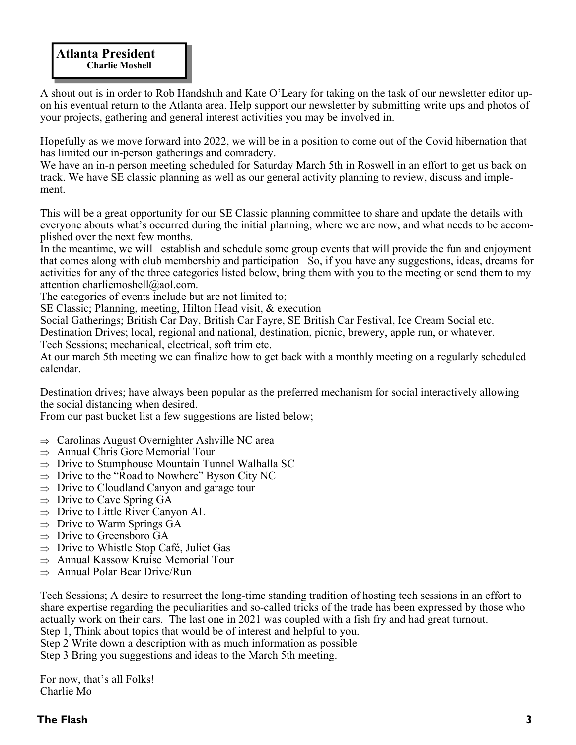A shout out is in order to Rob Handshuh and Kate O'Leary for taking on the task of our newsletter editor upon his eventual return to the Atlanta area. Help support our newsletter by submitting write ups and photos of your projects, gathering and general interest activities you may be involved in.

Hopefully as we move forward into 2022, we will be in a position to come out of the Covid hibernation that has limited our in-person gatherings and comradery.

We have an in-n person meeting scheduled for Saturday March 5th in Roswell in an effort to get us back on track. We have SE classic planning as well as our general activity planning to review, discuss and implement.

This will be a great opportunity for our SE Classic planning committee to share and update the details with everyone abouts what's occurred during the initial planning, where we are now, and what needs to be accomplished over the next few months.

In the meantime, we will establish and schedule some group events that will provide the fun and enjoyment that comes along with club membership and participation So, if you have any suggestions, ideas, dreams for activities for any of the three categories listed below, bring them with you to the meeting or send them to my attention charliemoshell@aol.com.

The categories of events include but are not limited to;

SE Classic; Planning, meeting, Hilton Head visit, & execution

Social Gatherings; British Car Day, British Car Fayre, SE British Car Festival, Ice Cream Social etc.

Destination Drives; local, regional and national, destination, picnic, brewery, apple run, or whatever.

Tech Sessions; mechanical, electrical, soft trim etc.

At our march 5th meeting we can finalize how to get back with a monthly meeting on a regularly scheduled calendar.

Destination drives; have always been popular as the preferred mechanism for social interactively allowing the social distancing when desired.

From our past bucket list a few suggestions are listed below;

- $\Rightarrow$  Carolinas August Overnighter Ashville NC area
- $\Rightarrow$  Annual Chris Gore Memorial Tour
- $\Rightarrow$  Drive to Stumphouse Mountain Tunnel Walhalla SC
- $\Rightarrow$  Drive to the "Road to Nowhere" Byson City NC
- $\Rightarrow$  Drive to Cloudland Canyon and garage tour
- $\Rightarrow$  Drive to Cave Spring GA
- $\Rightarrow$  Drive to Little River Canyon AL
- $\Rightarrow$  Drive to Warm Springs GA
- $\Rightarrow$  Drive to Greensboro GA
- $\Rightarrow$  Drive to Whistle Stop Café, Juliet Gas
- $\Rightarrow$  Annual Kassow Kruise Memorial Tour
- $\Rightarrow$  Annual Polar Bear Drive/Run

Tech Sessions; A desire to resurrect the long-time standing tradition of hosting tech sessions in an effort to share expertise regarding the peculiarities and so-called tricks of the trade has been expressed by those who actually work on their cars. The last one in 2021 was coupled with a fish fry and had great turnout. Step 1, Think about topics that would be of interest and helpful to you.

Step 2 Write down a description with as much information as possible

Step 3 Bring you suggestions and ideas to the March 5th meeting.

For now, that's all Folks! Charlie Mo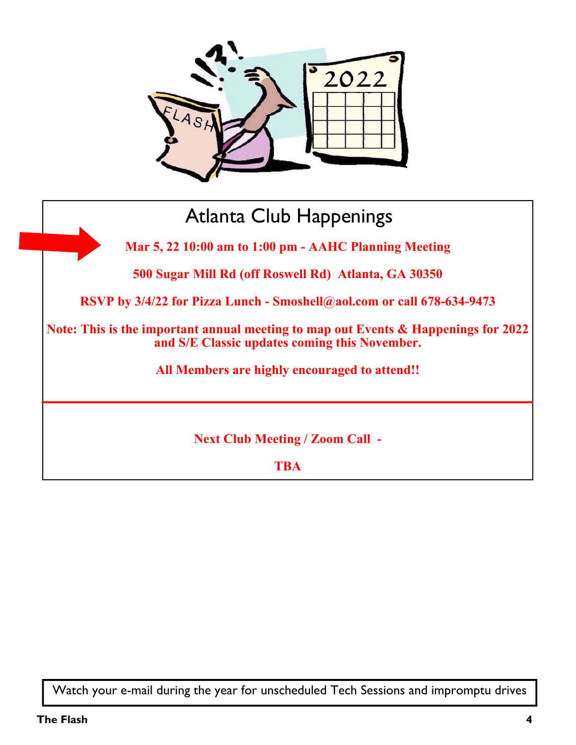

# Atlanta Club Happenings **Mar 5, 22 10:00 am to 1:00 pm - AAHC Planning Meeting 500 Sugar Mill Rd (off Roswell Rd) Atlanta, GA 30350 RSVP by 3/4/22 for Pizza Lunch - Smoshell@aol.com or call 678-634-9473 Note: This is the important annual meeting to map out Events & Happenings for 2022 and S/E Classic updates coming this November. All Members are highly encouraged to attend!! Next Club Meeting / Zoom Call - TBA**

Watch your e-mail during the year for unscheduled Tech Sessions and impromptu drives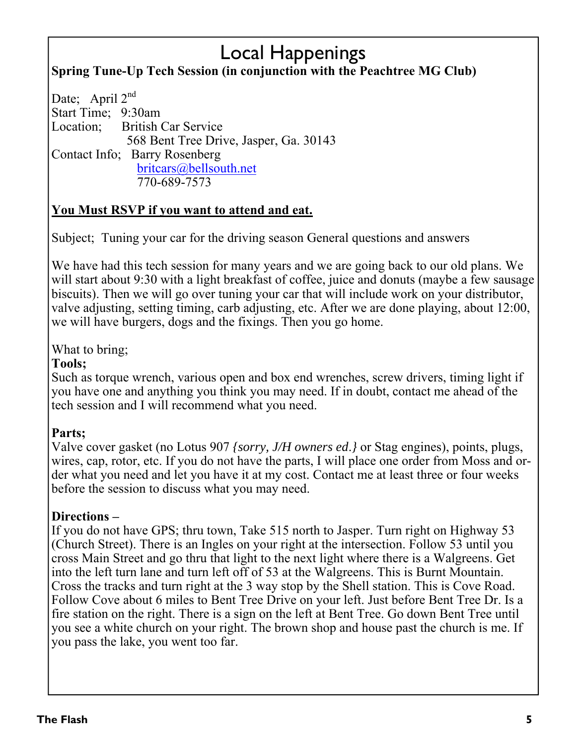## Local Happenings **Spring Tune-Up Tech Session (in conjunction with the Peachtree MG Club)**

Date; April  $2^{nd}$ Start Time; 9:30am Location; British Car Service 568 Bent Tree Drive, Jasper, Ga. 30143 Contact Info; Barry Rosenberg britcars@bellsouth.net 770-689-7573

### **You Must RSVP if you want to attend and eat.**

Subject; Tuning your car for the driving season General questions and answers

We have had this tech session for many years and we are going back to our old plans. We will start about 9:30 with a light breakfast of coffee, juice and donuts (maybe a few sausage biscuits). Then we will go over tuning your car that will include work on your distributor, valve adjusting, setting timing, carb adjusting, etc. After we are done playing, about 12:00, we will have burgers, dogs and the fixings. Then you go home.

What to bring;

### **Tools;**

Such as torque wrench, various open and box end wrenches, screw drivers, timing light if you have one and anything you think you may need. If in doubt, contact me ahead of the tech session and I will recommend what you need.

### **Parts;**

 wires, cap, rotor, etc. If you do not have the parts, I will place one order from Moss and or-Valve cover gasket (no Lotus 907 *{sorry, J/H owners ed*.*}* or Stag engines), points, plugs, der what you need and let you have it at my cost. Contact me at least three or four weeks before the session to discuss what you may need.

### **Directions –**

If you do not have GPS; thru town, Take 515 north to Jasper. Turn right on Highway 53 (Church Street). There is an Ingles on your right at the intersection. Follow 53 until you cross Main Street and go thru that light to the next light where there is a Walgreens. Get into the left turn lane and turn left off of 53 at the Walgreens. This is Burnt Mountain. Cross the tracks and turn right at the 3 way stop by the Shell station. This is Cove Road. Follow Cove about 6 miles to Bent Tree Drive on your left. Just before Bent Tree Dr. Is a fire station on the right. There is a sign on the left at Bent Tree. Go down Bent Tree until you see a white church on your right. The brown shop and house past the church is me. If you pass the lake, you went too far.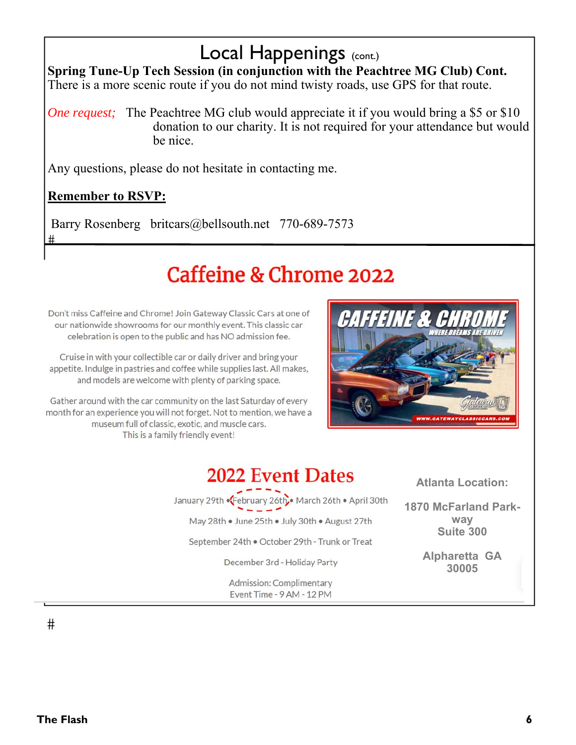## Local Happenings (CONE.)

**Spring Tune-Up Tech Session (in conjunction with the Peachtree MG Club) Cont.**  There is a more scenic route if you do not mind twisty roads, use GPS for that route.

*One request;* The Peachtree MG club would appreciate it if you would bring a \$5 or \$10 donation to our charity. It is not required for your attendance but would be nice.

Any questions, please do not hesitate in contacting me.

### **Remember to RSVP:**

 $#$ 

Barry Rosenberg britcars@bellsouth.net 770-689-7573

# Caffeine & Chrome 2022

Don't miss Caffeine and Chrome! Join Gateway Classic Cars at one of our nationwide showrooms for our monthly event. This classic car celebration is open to the public and has NO admission fee.

Cruise in with your collectible car or daily driver and bring your appetite. Indulge in pastries and coffee while supplies last. All makes, and models are welcome with plenty of parking space.

Gather around with the car community on the last Saturday of every month for an experience you will not forget. Not to mention, we have a museum full of classic, exotic, and muscle cars. This is a family friendly event!



## **2022 Event Dates**

January 29th .February 26th March 26th . April 30th May 28th . June 25th . July 30th . August 27th September 24th . October 29th - Trunk or Treat December 3rd - Holiday Party

Admission: Complimentary Event Time - 9 AM - 12 PM

**Atlanta Location:** 

**1870 McFarland Parkway Suite 300** 

> **Alpharetta GA 30005**

#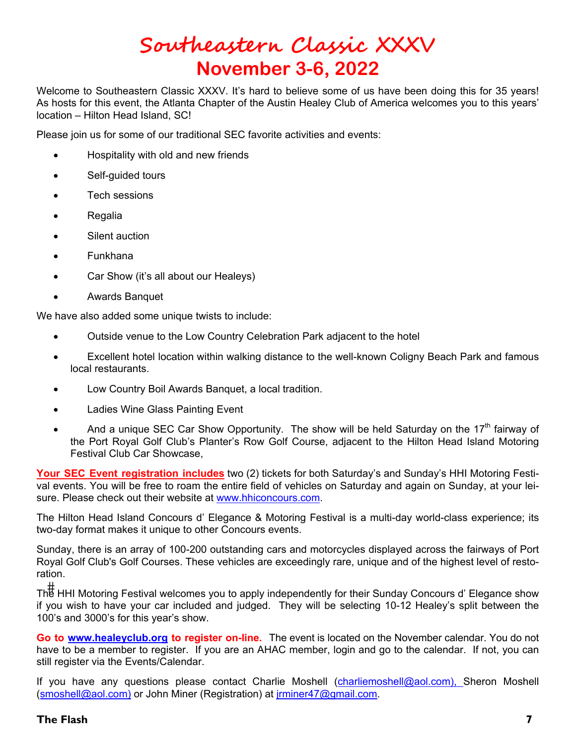## **Southeastern Classic XXXV November 3-6, 2022**

Welcome to Southeastern Classic XXXV. It's hard to believe some of us have been doing this for 35 years! As hosts for this event, the Atlanta Chapter of the Austin Healey Club of America welcomes you to this years' location – Hilton Head Island, SC!

Please join us for some of our traditional SEC favorite activities and events:

- Hospitality with old and new friends
- Self-guided tours
- Tech sessions
- Regalia
- Silent auction
- Funkhana
- Car Show (it's all about our Healeys)
- Awards Banquet

We have also added some unique twists to include:

- Outside venue to the Low Country Celebration Park adjacent to the hotel
- Excellent hotel location within walking distance to the well-known Coligny Beach Park and famous local restaurants.
- Low Country Boil Awards Banquet, a local tradition.
- Ladies Wine Glass Painting Event
- And a unique SEC Car Show Opportunity. The show will be held Saturday on the 17<sup>th</sup> fairway of the Port Royal Golf Club's Planter's Row Golf Course, adjacent to the Hilton Head Island Motoring Festival Club Car Showcase,

**Your SEC Event registration includes** two (2) tickets for both Saturday's and Sunday's HHI Motoring Festival events. You will be free to roam the entire field of vehicles on Saturday and again on Sunday, at your leisure. Please check out their website at www.hhiconcours.com.

The Hilton Head Island Concours d' Elegance & Motoring Festival is a multi-day world-class experience; its two-day format makes it unique to other Concours events.

Sunday, there is an array of 100-200 outstanding cars and motorcycles displayed across the fairways of Port Royal Golf Club's Golf Courses. These vehicles are exceedingly rare, unique and of the highest level of restoration.

 The HHI Motoring Festival welcomes you to apply independently for their Sunday Concours d' Elegance show if you wish to have your car included and judged. They will be selecting 10-12 Healey's split between the 100's and 3000's for this year's show.

**Go to www.healeyclub.org to register on-line.** The event is located on the November calendar. You do not have to be a member to register. If you are an AHAC member, login and go to the calendar. If not, you can still register via the Events/Calendar.

If you have any questions please contact Charlie Moshell (charliemoshell@aol.com), Sheron Moshell (smoshell@aol.com) or John Miner (Registration) at jrminer47@gmail.com.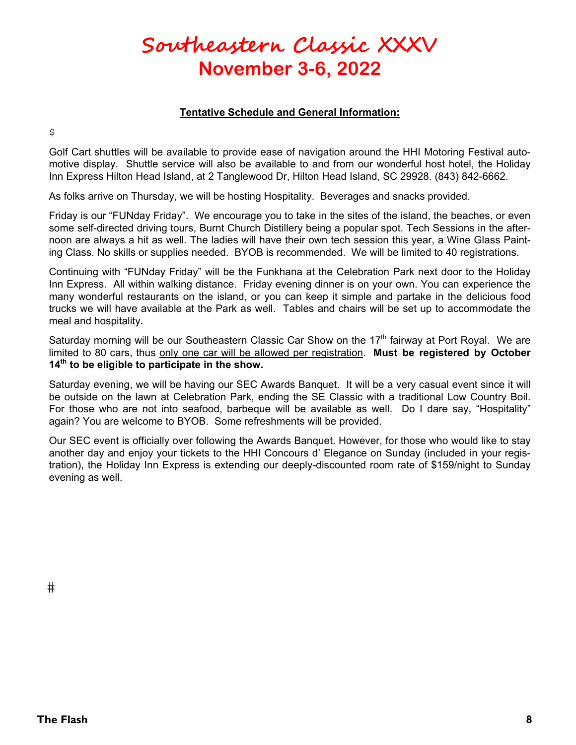## **Southeastern Classic XXXV November 3-6, 2022**

#### **Tentative Schedule and General Information:**

\$

Golf Cart shuttles will be available to provide ease of navigation around the HHI Motoring Festival automotive display. Shuttle service will also be available to and from our wonderful host hotel, the Holiday Inn Express Hilton Head Island, at 2 Tanglewood Dr, Hilton Head Island, SC 29928. (843) 842-6662.

As folks arrive on Thursday, we will be hosting Hospitality. Beverages and snacks provided.

Friday is our "FUNday Friday". We encourage you to take in the sites of the island, the beaches, or even some self-directed driving tours, Burnt Church Distillery being a popular spot. Tech Sessions in the afternoon are always a hit as well. The ladies will have their own tech session this year, a Wine Glass Painting Class. No skills or supplies needed. BYOB is recommended. We will be limited to 40 registrations.

Continuing with "FUNday Friday" will be the Funkhana at the Celebration Park next door to the Holiday Inn Express. All within walking distance. Friday evening dinner is on your own. You can experience the many wonderful restaurants on the island, or you can keep it simple and partake in the delicious food trucks we will have available at the Park as well. Tables and chairs will be set up to accommodate the meal and hospitality.

Saturday morning will be our Southeastern Classic Car Show on the  $17<sup>th</sup>$  fairway at Port Royal. We are limited to 80 cars, thus only one car will be allowed per registration. **Must be registered by October 14th to be eligible to participate in the show.** 

Saturday evening, we will be having our SEC Awards Banquet. It will be a very casual event since it will be outside on the lawn at Celebration Park, ending the SE Classic with a traditional Low Country Boil. For those who are not into seafood, barbeque will be available as well. Do I dare say, "Hospitality" again? You are welcome to BYOB. Some refreshments will be provided.

Our SEC event is officially over following the Awards Banquet. However, for those who would like to stay another day and enjoy your tickets to the HHI Concours d' Elegance on Sunday (included in your registration), the Holiday Inn Express is extending our deeply-discounted room rate of \$159/night to Sunday evening as well.

#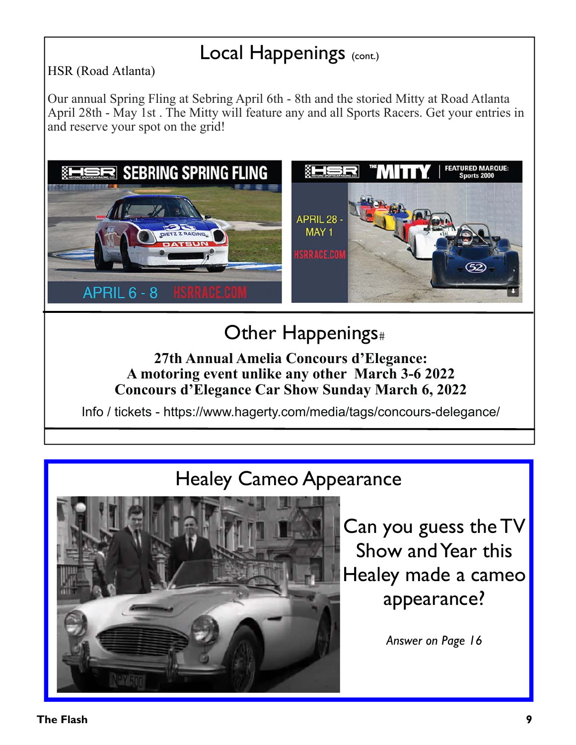## Local Happenings (CONE.)

HSR (Road Atlanta)

Our annual Spring Fling at Sebring April 6th - 8th and the storied Mitty at Road Atlanta April 28th - May 1st . The Mitty will feature any and all Sports Racers. Get your entries in and reserve your spot on the grid!



# Other Happenings

### **27th Annual Amelia Concours d'Elegance: A motoring event unlike any other March 3-6 2022 Concours d'Elegance Car Show Sunday March 6, 2022**

Info / tickets - https://www.hagerty.com/media/tags/concours-delegance/

# Healey Cameo Appearance



Can you guess the TV Show and Year this Healey made a cameo appearance?

*Answer on Page 16*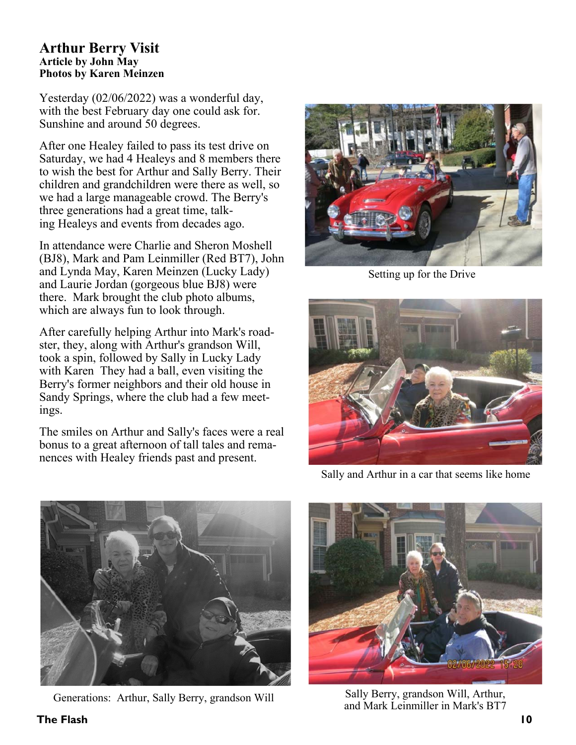#### **Arthur Berry Visit Article by John May Photos by Karen Meinzen**

Yesterday (02/06/2022) was a wonderful day, with the best February day one could ask for. Sunshine and around 50 degrees.

After one Healey failed to pass its test drive on Saturday, we had 4 Healeys and 8 members there to wish the best for Arthur and Sally Berry. Their children and grandchildren were there as well, so we had a large manageable crowd. The Berry's three generations had a great time, talking Healeys and events from decades ago.

In attendance were Charlie and Sheron Moshell (BJ8), Mark and Pam Leinmiller (Red BT7), John and Lynda May, Karen Meinzen (Lucky Lady) and Laurie Jordan (gorgeous blue BJ8) were there. Mark brought the club photo albums, which are always fun to look through.

After carefully helping Arthur into Mark's roadster, they, along with Arthur's grandson Will, took a spin, followed by Sally in Lucky Lady with Karen They had a ball, even visiting the Berry's former neighbors and their old house in Sandy Springs, where the club had a few meetings.

The smiles on Arthur and Sally's faces were a real bonus to a great afternoon of tall tales and remanences with Healey friends past and present.



Setting up for the Drive



Sally and Arthur in a car that seems like home



Generations: Arthur, Sally Berry, grandson Will<br>and Mark Leinmiller in Mark's BT7



Sally Berry, grandson Will, Arthur,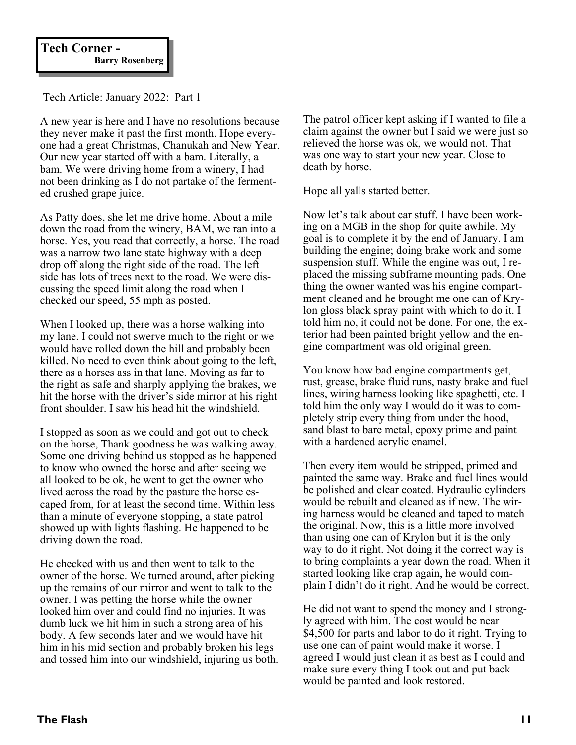Tech Article: January 2022: Part 1

A new year is here and I have no resolutions because they never make it past the first month. Hope everyone had a great Christmas, Chanukah and New Year. Our new year started off with a bam. Literally, a bam. We were driving home from a winery, I had not been drinking as I do not partake of the fermented crushed grape juice.

As Patty does, she let me drive home. About a mile down the road from the winery, BAM, we ran into a horse. Yes, you read that correctly, a horse. The road was a narrow two lane state highway with a deep drop off along the right side of the road. The left side has lots of trees next to the road. We were discussing the speed limit along the road when I checked our speed, 55 mph as posted.

When I looked up, there was a horse walking into my lane. I could not swerve much to the right or we would have rolled down the hill and probably been killed. No need to even think about going to the left, there as a horses ass in that lane. Moving as far to the right as safe and sharply applying the brakes, we hit the horse with the driver's side mirror at his right front shoulder. I saw his head hit the windshield.

I stopped as soon as we could and got out to check on the horse, Thank goodness he was walking away. Some one driving behind us stopped as he happened to know who owned the horse and after seeing we all looked to be ok, he went to get the owner who lived across the road by the pasture the horse escaped from, for at least the second time. Within less than a minute of everyone stopping, a state patrol showed up with lights flashing. He happened to be driving down the road.

He checked with us and then went to talk to the owner of the horse. We turned around, after picking up the remains of our mirror and went to talk to the owner. I was petting the horse while the owner looked him over and could find no injuries. It was dumb luck we hit him in such a strong area of his body. A few seconds later and we would have hit him in his mid section and probably broken his legs and tossed him into our windshield, injuring us both. The patrol officer kept asking if I wanted to file a claim against the owner but I said we were just so relieved the horse was ok, we would not. That was one way to start your new year. Close to death by horse.

Hope all yalls started better.

Now let's talk about car stuff. I have been working on a MGB in the shop for quite awhile. My goal is to complete it by the end of January. I am building the engine; doing brake work and some suspension stuff. While the engine was out, I replaced the missing subframe mounting pads. One thing the owner wanted was his engine compartment cleaned and he brought me one can of Krylon gloss black spray paint with which to do it. I told him no, it could not be done. For one, the exterior had been painted bright yellow and the engine compartment was old original green.

You know how bad engine compartments get, rust, grease, brake fluid runs, nasty brake and fuel lines, wiring harness looking like spaghetti, etc. I told him the only way I would do it was to completely strip every thing from under the hood, sand blast to bare metal, epoxy prime and paint with a hardened acrylic enamel.

Then every item would be stripped, primed and painted the same way. Brake and fuel lines would be polished and clear coated. Hydraulic cylinders would be rebuilt and cleaned as if new. The wiring harness would be cleaned and taped to match the original. Now, this is a little more involved than using one can of Krylon but it is the only way to do it right. Not doing it the correct way is to bring complaints a year down the road. When it started looking like crap again, he would complain I didn't do it right. And he would be correct.

He did not want to spend the money and I strongly agreed with him. The cost would be near \$4,500 for parts and labor to do it right. Trying to use one can of paint would make it worse. I agreed I would just clean it as best as I could and make sure every thing I took out and put back would be painted and look restored.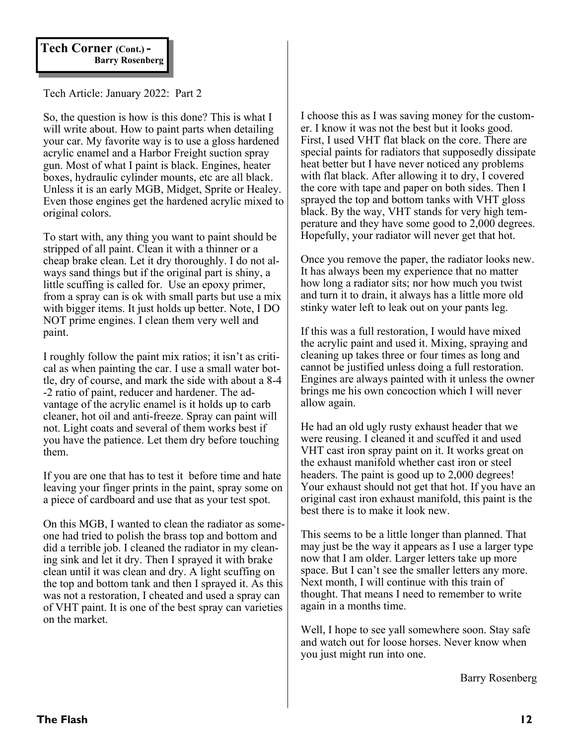Tech Article: January 2022: Part 2

So, the question is how is this done? This is what I will write about. How to paint parts when detailing your car. My favorite way is to use a gloss hardened acrylic enamel and a Harbor Freight suction spray gun. Most of what I paint is black. Engines, heater boxes, hydraulic cylinder mounts, etc are all black. Unless it is an early MGB, Midget, Sprite or Healey. Even those engines get the hardened acrylic mixed to original colors.

To start with, any thing you want to paint should be stripped of all paint. Clean it with a thinner or a cheap brake clean. Let it dry thoroughly. I do not always sand things but if the original part is shiny, a little scuffing is called for. Use an epoxy primer, from a spray can is ok with small parts but use a mix with bigger items. It just holds up better. Note, I DO NOT prime engines. I clean them very well and paint.

I roughly follow the paint mix ratios; it isn't as critical as when painting the car. I use a small water bottle, dry of course, and mark the side with about a 8-4 -2 ratio of paint, reducer and hardener. The advantage of the acrylic enamel is it holds up to carb cleaner, hot oil and anti-freeze. Spray can paint will not. Light coats and several of them works best if you have the patience. Let them dry before touching them.

If you are one that has to test it before time and hate leaving your finger prints in the paint, spray some on a piece of cardboard and use that as your test spot.

On this MGB, I wanted to clean the radiator as someone had tried to polish the brass top and bottom and did a terrible job. I cleaned the radiator in my cleaning sink and let it dry. Then I sprayed it with brake clean until it was clean and dry. A light scuffing on the top and bottom tank and then I sprayed it. As this was not a restoration, I cheated and used a spray can of VHT paint. It is one of the best spray can varieties on the market.

I choose this as I was saving money for the customer. I know it was not the best but it looks good. First, I used VHT flat black on the core. There are special paints for radiators that supposedly dissipate heat better but I have never noticed any problems with flat black. After allowing it to dry, I covered the core with tape and paper on both sides. Then I sprayed the top and bottom tanks with VHT gloss black. By the way, VHT stands for very high temperature and they have some good to 2,000 degrees. Hopefully, your radiator will never get that hot.

Once you remove the paper, the radiator looks new. It has always been my experience that no matter how long a radiator sits; nor how much you twist and turn it to drain, it always has a little more old stinky water left to leak out on your pants leg.

If this was a full restoration, I would have mixed the acrylic paint and used it. Mixing, spraying and cleaning up takes three or four times as long and cannot be justified unless doing a full restoration. Engines are always painted with it unless the owner brings me his own concoction which I will never allow again.

He had an old ugly rusty exhaust header that we were reusing. I cleaned it and scuffed it and used VHT cast iron spray paint on it. It works great on the exhaust manifold whether cast iron or steel headers. The paint is good up to 2,000 degrees! Your exhaust should not get that hot. If you have an original cast iron exhaust manifold, this paint is the best there is to make it look new.

This seems to be a little longer than planned. That may just be the way it appears as I use a larger type now that I am older. Larger letters take up more space. But I can't see the smaller letters any more. Next month, I will continue with this train of thought. That means I need to remember to write again in a months time.

Well, I hope to see yall somewhere soon. Stay safe and watch out for loose horses. Never know when you just might run into one.

Barry Rosenberg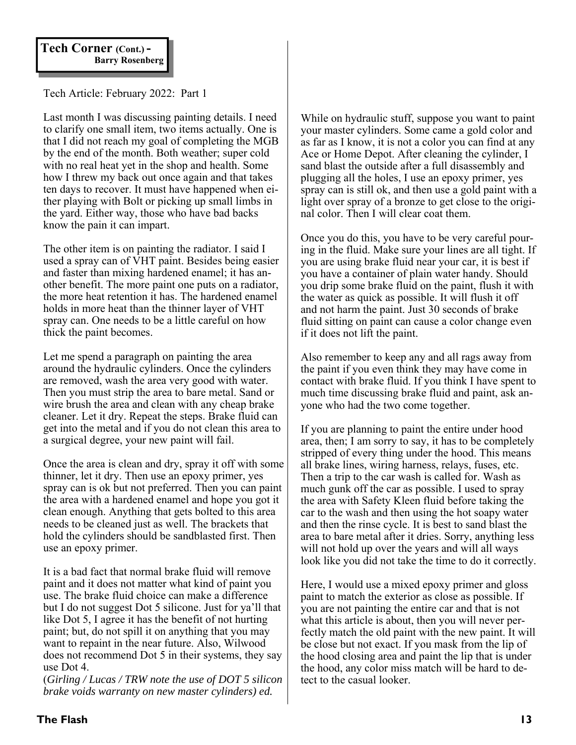## **Tech Corner (Cont.) - Barry Rosenberg**

Tech Article: February 2022: Part 1

Last month I was discussing painting details. I need to clarify one small item, two items actually. One is that I did not reach my goal of completing the MGB by the end of the month. Both weather; super cold with no real heat yet in the shop and health. Some how I threw my back out once again and that takes ten days to recover. It must have happened when either playing with Bolt or picking up small limbs in the yard. Either way, those who have bad backs know the pain it can impart.

The other item is on painting the radiator. I said I used a spray can of VHT paint. Besides being easier and faster than mixing hardened enamel; it has another benefit. The more paint one puts on a radiator, the more heat retention it has. The hardened enamel holds in more heat than the thinner layer of VHT spray can. One needs to be a little careful on how thick the paint becomes.

Let me spend a paragraph on painting the area around the hydraulic cylinders. Once the cylinders are removed, wash the area very good with water. Then you must strip the area to bare metal. Sand or wire brush the area and clean with any cheap brake cleaner. Let it dry. Repeat the steps. Brake fluid can get into the metal and if you do not clean this area to a surgical degree, your new paint will fail.

Once the area is clean and dry, spray it off with some thinner, let it dry. Then use an epoxy primer, yes spray can is ok but not preferred. Then you can paint the area with a hardened enamel and hope you got it clean enough. Anything that gets bolted to this area needs to be cleaned just as well. The brackets that hold the cylinders should be sandblasted first. Then use an epoxy primer.

It is a bad fact that normal brake fluid will remove paint and it does not matter what kind of paint you use. The brake fluid choice can make a difference but I do not suggest Dot 5 silicone. Just for ya'll that like Dot 5, I agree it has the benefit of not hurting paint; but, do not spill it on anything that you may want to repaint in the near future. Also, Wilwood does not recommend Dot 5 in their systems, they say use Dot 4.

(*Girling / Lucas / TRW note the use of DOT 5 silicon brake voids warranty on new master cylinders) ed.* 

While on hydraulic stuff, suppose you want to paint your master cylinders. Some came a gold color and as far as I know, it is not a color you can find at any Ace or Home Depot. After cleaning the cylinder, I sand blast the outside after a full disassembly and plugging all the holes, I use an epoxy primer, yes spray can is still ok, and then use a gold paint with a light over spray of a bronze to get close to the original color. Then I will clear coat them.

Once you do this, you have to be very careful pouring in the fluid. Make sure your lines are all tight. If you are using brake fluid near your car, it is best if you have a container of plain water handy. Should you drip some brake fluid on the paint, flush it with the water as quick as possible. It will flush it off and not harm the paint. Just 30 seconds of brake fluid sitting on paint can cause a color change even if it does not lift the paint.

Also remember to keep any and all rags away from the paint if you even think they may have come in contact with brake fluid. If you think I have spent to much time discussing brake fluid and paint, ask anyone who had the two come together.

If you are planning to paint the entire under hood area, then; I am sorry to say, it has to be completely stripped of every thing under the hood. This means all brake lines, wiring harness, relays, fuses, etc. Then a trip to the car wash is called for. Wash as much gunk off the car as possible. I used to spray the area with Safety Kleen fluid before taking the car to the wash and then using the hot soapy water and then the rinse cycle. It is best to sand blast the area to bare metal after it dries. Sorry, anything less will not hold up over the years and will all ways look like you did not take the time to do it correctly.

Here, I would use a mixed epoxy primer and gloss paint to match the exterior as close as possible. If you are not painting the entire car and that is not what this article is about, then you will never perfectly match the old paint with the new paint. It will be close but not exact. If you mask from the lip of the hood closing area and paint the lip that is under the hood, any color miss match will be hard to detect to the casual looker.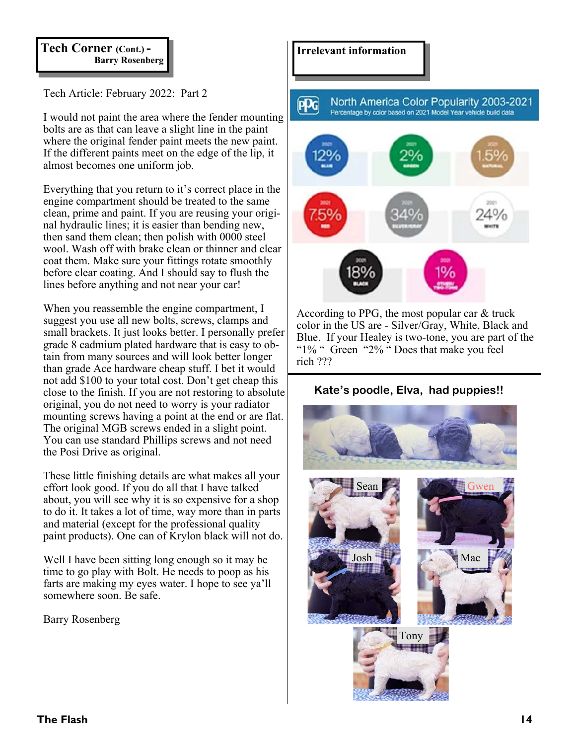# **Tech Corner (Cont.) - Barry Rosenberg**

Tech Article: February 2022: Part 2

I would not paint the area where the fender mounting bolts are as that can leave a slight line in the paint where the original fender paint meets the new paint. If the different paints meet on the edge of the lip, it almost becomes one uniform job.

Everything that you return to it's correct place in the engine compartment should be treated to the same clean, prime and paint. If you are reusing your original hydraulic lines; it is easier than bending new, then sand them clean; then polish with 0000 steel wool. Wash off with brake clean or thinner and clear coat them. Make sure your fittings rotate smoothly before clear coating. And I should say to flush the lines before anything and not near your car!

When you reassemble the engine compartment, I suggest you use all new bolts, screws, clamps and small brackets. It just looks better. I personally prefer grade 8 cadmium plated hardware that is easy to obtain from many sources and will look better longer than grade Ace hardware cheap stuff. I bet it would not add \$100 to your total cost. Don't get cheap this close to the finish. If you are not restoring to absolute original, you do not need to worry is your radiator mounting screws having a point at the end or are flat. The original MGB screws ended in a slight point. You can use standard Phillips screws and not need the Posi Drive as original.

These little finishing details are what makes all your effort look good. If you do all that I have talked about, you will see why it is so expensive for a shop to do it. It takes a lot of time, way more than in parts and material (except for the professional quality paint products). One can of Krylon black will not do.

Well I have been sitting long enough so it may be time to go play with Bolt. He needs to poop as his farts are making my eyes water. I hope to see ya'll somewhere soon. Be safe.

Barry Rosenberg

### **Irrelevant information**





According to PPG, the most popular car & truck color in the US are - Silver/Gray, White, Black and Blue. If your Healey is two-tone, you are part of the "1% " Green "2% " Does that make you feel rich ???

### **Kate's poodle, Elva, had puppies!!**

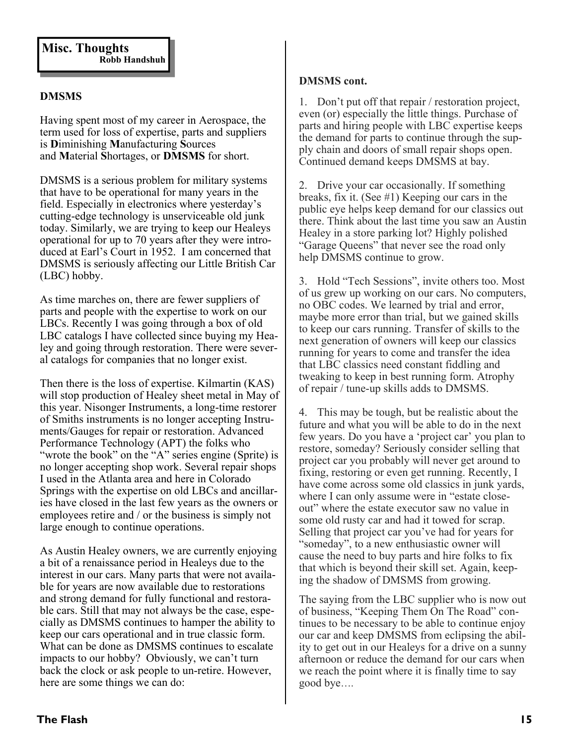### **DMSMS**

Having spent most of my career in Aerospace, the term used for loss of expertise, parts and suppliers is **D**iminishing **M**anufacturing **S**ources and **M**aterial **S**hortages, or **DMSMS** for short.

DMSMS is a serious problem for military systems that have to be operational for many years in the field. Especially in electronics where yesterday's cutting-edge technology is unserviceable old junk today. Similarly, we are trying to keep our Healeys operational for up to 70 years after they were introduced at Earl's Court in 1952. I am concerned that DMSMS is seriously affecting our Little British Car (LBC) hobby.

As time marches on, there are fewer suppliers of parts and people with the expertise to work on our LBCs. Recently I was going through a box of old LBC catalogs I have collected since buying my Healey and going through restoration. There were several catalogs for companies that no longer exist.

Then there is the loss of expertise. Kilmartin (KAS) will stop production of Healey sheet metal in May of this year. Nisonger Instruments, a long-time restorer of Smiths instruments is no longer accepting Instruments/Gauges for repair or restoration. Advanced Performance Technology (APT) the folks who "wrote the book" on the "A" series engine (Sprite) is no longer accepting shop work. Several repair shops I used in the Atlanta area and here in Colorado Springs with the expertise on old LBCs and ancillaries have closed in the last few years as the owners or employees retire and / or the business is simply not large enough to continue operations.

As Austin Healey owners, we are currently enjoying a bit of a renaissance period in Healeys due to the interest in our cars. Many parts that were not available for years are now available due to restorations and strong demand for fully functional and restorable cars. Still that may not always be the case, especially as DMSMS continues to hamper the ability to keep our cars operational and in true classic form. What can be done as DMSMS continues to escalate impacts to our hobby? Obviously, we can't turn back the clock or ask people to un-retire. However, here are some things we can do:

#### **DMSMS cont.**

1. Don't put off that repair / restoration project, even (or) especially the little things. Purchase of parts and hiring people with LBC expertise keeps the demand for parts to continue through the supply chain and doors of small repair shops open. Continued demand keeps DMSMS at bay.

2. Drive your car occasionally. If something breaks, fix it. (See #1) Keeping our cars in the public eye helps keep demand for our classics out there. Think about the last time you saw an Austin Healey in a store parking lot? Highly polished "Garage Queens" that never see the road only help DMSMS continue to grow.

3. Hold "Tech Sessions", invite others too. Most of us grew up working on our cars. No computers, no OBC codes. We learned by trial and error, maybe more error than trial, but we gained skills to keep our cars running. Transfer of skills to the next generation of owners will keep our classics running for years to come and transfer the idea that LBC classics need constant fiddling and tweaking to keep in best running form. Atrophy of repair / tune-up skills adds to DMSMS.

4. This may be tough, but be realistic about the future and what you will be able to do in the next few years. Do you have a 'project car' you plan to restore, someday? Seriously consider selling that project car you probably will never get around to fixing, restoring or even get running. Recently, I have come across some old classics in junk yards, where I can only assume were in "estate closeout" where the estate executor saw no value in some old rusty car and had it towed for scrap. Selling that project car you've had for years for "someday", to a new enthusiastic owner will cause the need to buy parts and hire folks to fix that which is beyond their skill set. Again, keeping the shadow of DMSMS from growing.

The saying from the LBC supplier who is now out of business, "Keeping Them On The Road" continues to be necessary to be able to continue enjoy our car and keep DMSMS from eclipsing the ability to get out in our Healeys for a drive on a sunny afternoon or reduce the demand for our cars when we reach the point where it is finally time to say good bye….